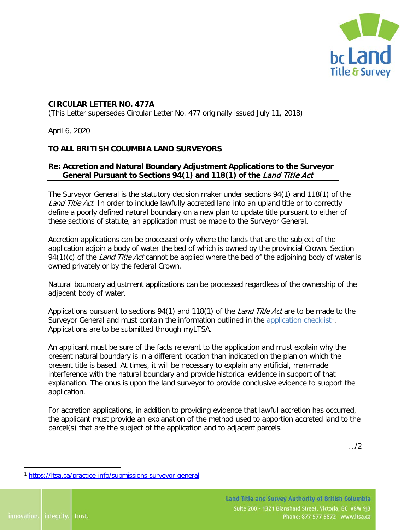

## **CIRCULAR LETTER NO. 477A**

(This Letter supersedes Circular Letter No. 477 originally issued July 11, 2018)

April 6, 2020

## **TO ALL BRITISH COLUMBIA LAND SURVEYORS**

## **Re: Accretion and Natural Boundary Adjustment Applications to the Surveyor General Pursuant to Sections 94(1) and 118(1) of the** Land Title Act

The Surveyor General is the statutory decision maker under sections 94(1) and 118(1) of the Land Title Act. In order to include lawfully accreted land into an upland title or to correctly define a poorly defined natural boundary on a new plan to update title pursuant to either of these sections of statute, an application must be made to the Surveyor General.

Accretion applications can be processed only where the lands that are the subject of the application adjoin a body of water the bed of which is owned by the provincial Crown. Section 94(1)(c) of the *Land Title Act* cannot be applied where the bed of the adjoining body of water is owned privately or by the federal Crown.

Natural boundary adjustment applications can be processed regardless of the ownership of the adjacent body of water.

Applications pursuant to sections 94(1) and 118(1) of the *Land Title Act* are to be made to the Surveyor General and must contain the information outlined in the [application checklist](https://ltsa.ca/practice-info/submissions-surveyor-general)<sup>[1](#page-0-0)</sup>. Applications are to be submitted through myLTSA.

An applicant must be sure of the facts relevant to the application and must explain why the present natural boundary is in a different location than indicated on the plan on which the present title is based. At times, it will be necessary to explain any artificial, man-made interference with the natural boundary and provide historical evidence in support of that explanation. The onus is upon the land surveyor to provide conclusive evidence to support the application.

For accretion applications, in addition to providing evidence that lawful accretion has occurred, the applicant must provide an explanation of the method used to apportion accreted land to the parcel(s) that are the subject of the application and to adjacent parcels.

…/2

<span id="page-0-0"></span><sup>1</sup> <https://ltsa.ca/practice-info/submissions-surveyor-general>